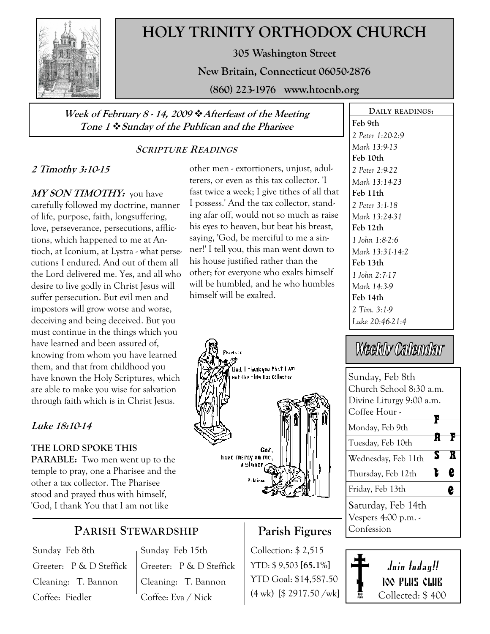

# HOLY TRINITY ORTHODOX CHURCH

305 Washington Street

New Britain, Connecticut 06050-2876

(860) 223-1976 www.htocnb.org

### Week of February 8 - 14, 2009  $\triangle$  Afterfeast of the Meeting Tone 1  $\div$  Sunday of the Publican and the Pharisee

## SCRIPTURE READINGS

## 2 Timothy 3:10-15

MY SON TIMOTHY: you have carefully followed my doctrine, manner of life, purpose, faith, longsuffering, love, perseverance, persecutions, afflictions, which happened to me at Antioch, at Iconium, at Lystra - what persecutions I endured. And out of them all the Lord delivered me. Yes, and all who desire to live godly in Christ Jesus will suffer persecution. But evil men and impostors will grow worse and worse, deceiving and being deceived. But you must continue in the things which you have learned and been assured of, knowing from whom you have learned them, and that from childhood you have known the Holy Scriptures, which are able to make you wise for salvation through faith which is in Christ Jesus.

## Luke 18:10-14

## THE LORD SPOKE THIS

PARABLE: Two men went up to the temple to pray, one a Pharisee and the other a tax collector. The Pharisee stood and prayed thus with himself, 'God, I thank You that I am not like

# PARISH STEWARDSHIP

Sunday Feb 8th Greeter: P & D Steffick Cleaning: T. Bannon Coffee: Fiedler

Sunday Feb 15th Greeter: P & D Steffick Cleaning: T. Bannon Coffee: Eva / Nick

#### other men - extortioners, unjust, adulterers, or even as this tax collector. 'I fast twice a week; I give tithes of all that I possess.' And the tax collector, standing afar off, would not so much as raise his eyes to heaven, but beat his breast, saying, 'God, be merciful to me a sinner!' I tell you, this man went down to his house justified rather than the other; for everyone who exalts himself will be humbled, and he who humbles himself will be exalted.



Parish Figures

Collection: \$ 2,515 YTD: \$ 9,503 [65.1%] YTD Goal: \$14,587.50 (4 wk) [\$ 2917.50 /wk]

### Feb 9th 2 Peter 1:20-2:9 Mark 13:9-13 Feb 10th 2 Peter 2:9-22 Mark 13:14-23 Feb 11th 2 Peter 3:1-18 Mark 13:24-31 Feb 12th 1 John 1:8-2:6 Mark 13:31-14:2 Feb 13th 1 John 2:7-17 Mark 14:3-9 Feb 14th 2 Tim. 3:1-9 Luke 20:46-21:4

DAILY READINGS:

# Weekly Calendar

| Sunday, Feb 8th          |   |
|--------------------------|---|
| Church School 8:30 a.m.  |   |
| Divine Liturgy 9:00 a.m. |   |
| Coffee Hour -            |   |
| Monday, Feb 9th          |   |
| Tuesday, Feb 10th        |   |
| Wednesday, Feb 11th      |   |
| Thursday, Feb 12th       | ę |
| Friday, Feb 13th         |   |
| Saturday, Feb 14th       |   |
| Vespers 4:00 p.m. -      |   |
| Confession               |   |